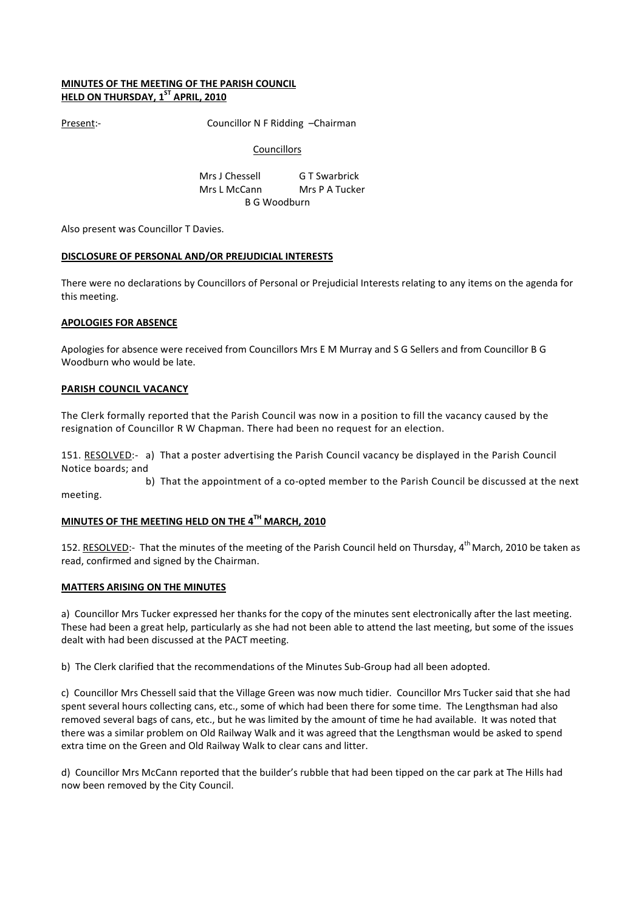## MINUTES OF THE MEETING OF THE PARISH COUNCIL HELD ON THURSDAY, 1<sup>ST</sup> APRIL, 2010

Present:- Councillor N F Ridding -Chairman

## Councillors

 Mrs J Chessell G T Swarbrick Mrs L McCann Mrs P A Tucker B G Woodburn

Also present was Councillor T Davies.

## DISCLOSURE OF PERSONAL AND/OR PREJUDICIAL INTERESTS

There were no declarations by Councillors of Personal or Prejudicial Interests relating to any items on the agenda for this meeting.

## APOLOGIES FOR ABSENCE

Apologies for absence were received from Councillors Mrs E M Murray and S G Sellers and from Councillor B G Woodburn who would be late.

## PARISH COUNCIL VACANCY

The Clerk formally reported that the Parish Council was now in a position to fill the vacancy caused by the resignation of Councillor R W Chapman. There had been no request for an election.

151. RESOLVED:- a) That a poster advertising the Parish Council vacancy be displayed in the Parish Council Notice boards; and

 b) That the appointment of a co-opted member to the Parish Council be discussed at the next meeting.

# MINUTES OF THE MEETING HELD ON THE 4TH MARCH, 2010

152. RESOLVED:- That the minutes of the meeting of the Parish Council held on Thursday, 4<sup>th</sup> March, 2010 be taken as read, confirmed and signed by the Chairman.

## MATTERS ARISING ON THE MINUTES

a) Councillor Mrs Tucker expressed her thanks for the copy of the minutes sent electronically after the last meeting. These had been a great help, particularly as she had not been able to attend the last meeting, but some of the issues dealt with had been discussed at the PACT meeting.

b) The Clerk clarified that the recommendations of the Minutes Sub-Group had all been adopted.

c) Councillor Mrs Chessell said that the Village Green was now much tidier. Councillor Mrs Tucker said that she had spent several hours collecting cans, etc., some of which had been there for some time. The Lengthsman had also removed several bags of cans, etc., but he was limited by the amount of time he had available. It was noted that there was a similar problem on Old Railway Walk and it was agreed that the Lengthsman would be asked to spend extra time on the Green and Old Railway Walk to clear cans and litter.

d) Councillor Mrs McCann reported that the builder's rubble that had been tipped on the car park at The Hills had now been removed by the City Council.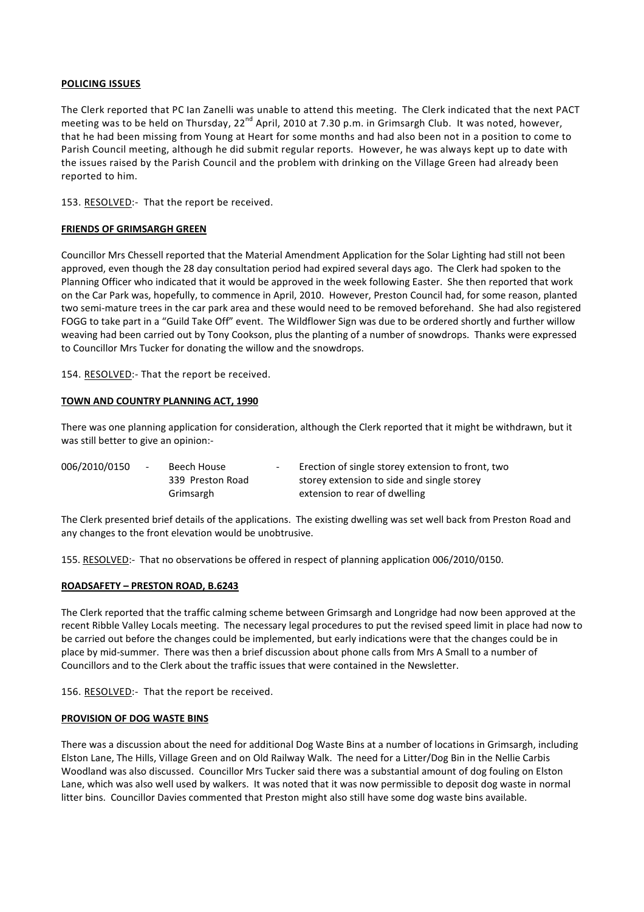## POLICING ISSUES

The Clerk reported that PC Ian Zanelli was unable to attend this meeting. The Clerk indicated that the next PACT meeting was to be held on Thursday, 22<sup>nd</sup> April, 2010 at 7.30 p.m. in Grimsargh Club. It was noted, however, that he had been missing from Young at Heart for some months and had also been not in a position to come to Parish Council meeting, although he did submit regular reports. However, he was always kept up to date with the issues raised by the Parish Council and the problem with drinking on the Village Green had already been reported to him.

153. RESOLVED:- That the report be received.

#### FRIENDS OF GRIMSARGH GREEN

Councillor Mrs Chessell reported that the Material Amendment Application for the Solar Lighting had still not been approved, even though the 28 day consultation period had expired several days ago. The Clerk had spoken to the Planning Officer who indicated that it would be approved in the week following Easter. She then reported that work on the Car Park was, hopefully, to commence in April, 2010. However, Preston Council had, for some reason, planted two semi-mature trees in the car park area and these would need to be removed beforehand. She had also registered FOGG to take part in a "Guild Take Off" event. The Wildflower Sign was due to be ordered shortly and further willow weaving had been carried out by Tony Cookson, plus the planting of a number of snowdrops. Thanks were expressed to Councillor Mrs Tucker for donating the willow and the snowdrops.

154. RESOLVED:- That the report be received.

### TOWN AND COUNTRY PLANNING ACT, 1990

There was one planning application for consideration, although the Clerk reported that it might be withdrawn, but it was still better to give an opinion:-

| 006/2010/0150 | $\overline{\phantom{0}}$ | Beech House      | Erection of single storey extension to front, two |
|---------------|--------------------------|------------------|---------------------------------------------------|
|               |                          | 339 Preston Road | storey extension to side and single storey        |
|               |                          | Grimsargh        | extension to rear of dwelling                     |

The Clerk presented brief details of the applications. The existing dwelling was set well back from Preston Road and any changes to the front elevation would be unobtrusive.

155. RESOLVED:- That no observations be offered in respect of planning application 006/2010/0150.

#### ROADSAFETY – PRESTON ROAD, B.6243

The Clerk reported that the traffic calming scheme between Grimsargh and Longridge had now been approved at the recent Ribble Valley Locals meeting. The necessary legal procedures to put the revised speed limit in place had now to be carried out before the changes could be implemented, but early indications were that the changes could be in place by mid-summer. There was then a brief discussion about phone calls from Mrs A Small to a number of Councillors and to the Clerk about the traffic issues that were contained in the Newsletter.

156. RESOLVED:- That the report be received.

#### PROVISION OF DOG WASTE BINS

There was a discussion about the need for additional Dog Waste Bins at a number of locations in Grimsargh, including Elston Lane, The Hills, Village Green and on Old Railway Walk. The need for a Litter/Dog Bin in the Nellie Carbis Woodland was also discussed. Councillor Mrs Tucker said there was a substantial amount of dog fouling on Elston Lane, which was also well used by walkers. It was noted that it was now permissible to deposit dog waste in normal litter bins. Councillor Davies commented that Preston might also still have some dog waste bins available.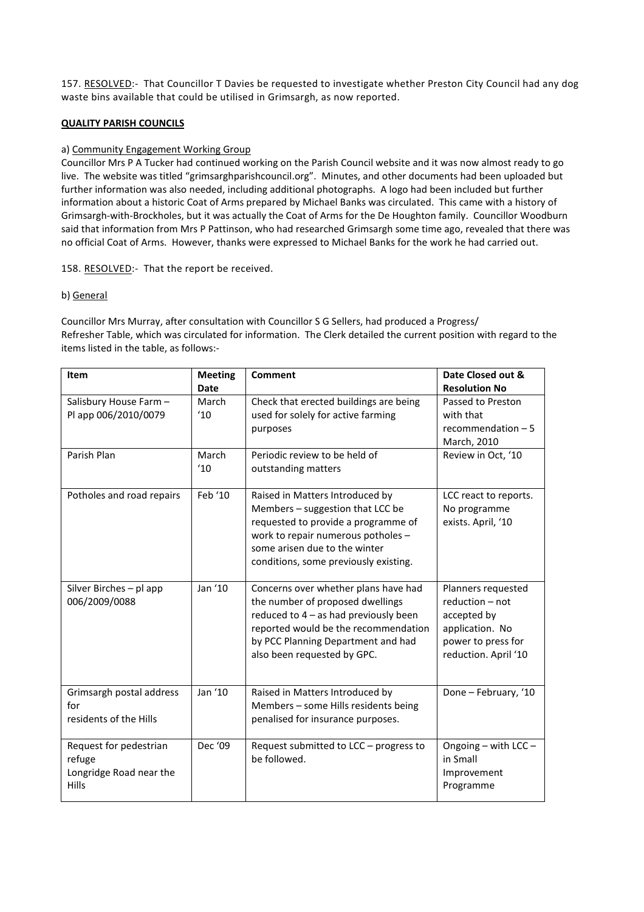157. RESOLVED:- That Councillor T Davies be requested to investigate whether Preston City Council had any dog waste bins available that could be utilised in Grimsargh, as now reported.

## QUALITY PARISH COUNCILS

# a) Community Engagement Working Group

Councillor Mrs P A Tucker had continued working on the Parish Council website and it was now almost ready to go live. The website was titled "grimsarghparishcouncil.org". Minutes, and other documents had been uploaded but further information was also needed, including additional photographs. A logo had been included but further information about a historic Coat of Arms prepared by Michael Banks was circulated. This came with a history of Grimsargh-with-Brockholes, but it was actually the Coat of Arms for the De Houghton family. Councillor Woodburn said that information from Mrs P Pattinson, who had researched Grimsargh some time ago, revealed that there was no official Coat of Arms. However, thanks were expressed to Michael Banks for the work he had carried out.

158. RESOLVED:- That the report be received.

### b) General

Councillor Mrs Murray, after consultation with Councillor S G Sellers, had produced a Progress/ Refresher Table, which was circulated for information. The Clerk detailed the current position with regard to the items listed in the table, as follows:-

| Item                                                                 | <b>Meeting</b> | Comment                                                                                                                                                                                                                        | Date Closed out &                                                                                                     |
|----------------------------------------------------------------------|----------------|--------------------------------------------------------------------------------------------------------------------------------------------------------------------------------------------------------------------------------|-----------------------------------------------------------------------------------------------------------------------|
|                                                                      | <b>Date</b>    |                                                                                                                                                                                                                                | <b>Resolution No</b>                                                                                                  |
| Salisbury House Farm -<br>Pl app 006/2010/0079                       | March<br>'10   | Check that erected buildings are being<br>used for solely for active farming<br>purposes                                                                                                                                       | Passed to Preston<br>with that<br>recommendation $-5$<br>March, 2010                                                  |
| Parish Plan                                                          | March<br>10    | Periodic review to be held of<br>outstanding matters                                                                                                                                                                           | Review in Oct, '10                                                                                                    |
| Potholes and road repairs                                            | Feb '10        | Raised in Matters Introduced by<br>Members - suggestion that LCC be<br>requested to provide a programme of<br>work to repair numerous potholes -<br>some arisen due to the winter<br>conditions, some previously existing.     | LCC react to reports.<br>No programme<br>exists. April, '10                                                           |
| Silver Birches - pl app<br>006/2009/0088                             | Jan '10        | Concerns over whether plans have had<br>the number of proposed dwellings<br>reduced to 4 - as had previously been<br>reported would be the recommendation<br>by PCC Planning Department and had<br>also been requested by GPC. | Planners requested<br>reduction - not<br>accepted by<br>application. No<br>power to press for<br>reduction. April '10 |
| Grimsargh postal address<br>for<br>residents of the Hills            | Jan '10        | Raised in Matters Introduced by<br>Members - some Hills residents being<br>penalised for insurance purposes.                                                                                                                   | Done - February, '10                                                                                                  |
| Request for pedestrian<br>refuge<br>Longridge Road near the<br>Hills | Dec '09        | Request submitted to LCC - progress to<br>be followed.                                                                                                                                                                         | Ongoing $-$ with LCC $-$<br>in Small<br>Improvement<br>Programme                                                      |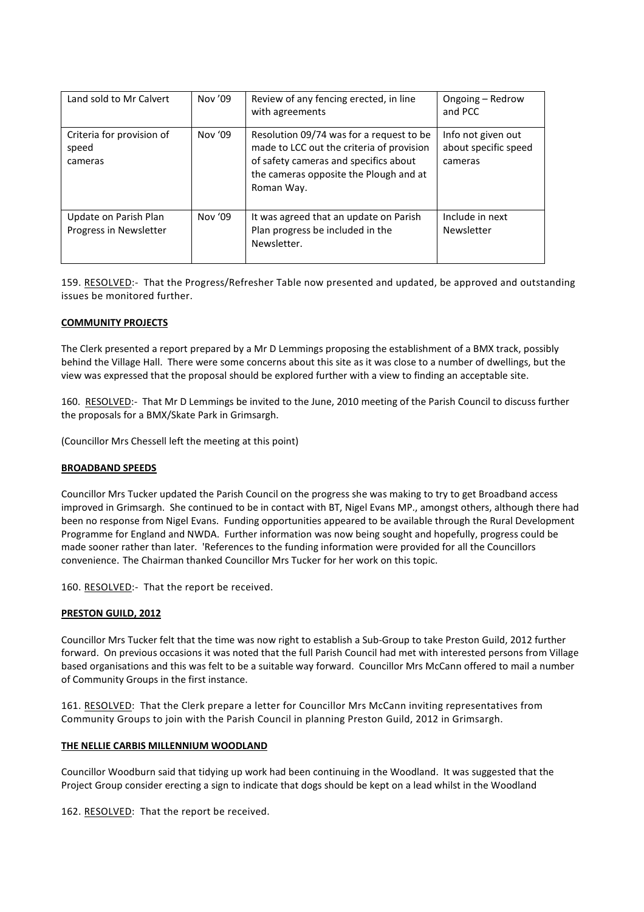| Land sold to Mr Calvert                         | Nov '09 | Review of any fencing erected, in line<br>with agreements                                                                                                                              | Ongoing – Redrow<br>and PCC                           |
|-------------------------------------------------|---------|----------------------------------------------------------------------------------------------------------------------------------------------------------------------------------------|-------------------------------------------------------|
| Criteria for provision of<br>speed<br>cameras   | Nov '09 | Resolution 09/74 was for a request to be<br>made to LCC out the criteria of provision<br>of safety cameras and specifics about<br>the cameras opposite the Plough and at<br>Roman Way. | Info not given out<br>about specific speed<br>cameras |
| Update on Parish Plan<br>Progress in Newsletter | Nov '09 | It was agreed that an update on Parish<br>Plan progress be included in the<br>Newsletter.                                                                                              | Include in next<br>Newsletter                         |

159. RESOLVED:- That the Progress/Refresher Table now presented and updated, be approved and outstanding issues be monitored further.

## COMMUNITY PROJECTS

The Clerk presented a report prepared by a Mr D Lemmings proposing the establishment of a BMX track, possibly behind the Village Hall. There were some concerns about this site as it was close to a number of dwellings, but the view was expressed that the proposal should be explored further with a view to finding an acceptable site.

160. RESOLVED:- That Mr D Lemmings be invited to the June, 2010 meeting of the Parish Council to discuss further the proposals for a BMX/Skate Park in Grimsargh.

(Councillor Mrs Chessell left the meeting at this point)

## BROADBAND SPEEDS

Councillor Mrs Tucker updated the Parish Council on the progress she was making to try to get Broadband access improved in Grimsargh. She continued to be in contact with BT, Nigel Evans MP., amongst others, although there had been no response from Nigel Evans. Funding opportunities appeared to be available through the Rural Development Programme for England and NWDA. Further information was now being sought and hopefully, progress could be made sooner rather than later. 'References to the funding information were provided for all the Councillors convenience. The Chairman thanked Councillor Mrs Tucker for her work on this topic.

160. RESOLVED:- That the report be received.

#### PRESTON GUILD, 2012

Councillor Mrs Tucker felt that the time was now right to establish a Sub-Group to take Preston Guild, 2012 further forward. On previous occasions it was noted that the full Parish Council had met with interested persons from Village based organisations and this was felt to be a suitable way forward. Councillor Mrs McCann offered to mail a number of Community Groups in the first instance.

161. RESOLVED: That the Clerk prepare a letter for Councillor Mrs McCann inviting representatives from Community Groups to join with the Parish Council in planning Preston Guild, 2012 in Grimsargh.

#### THE NELLIE CARBIS MILLENNIUM WOODLAND

Councillor Woodburn said that tidying up work had been continuing in the Woodland. It was suggested that the Project Group consider erecting a sign to indicate that dogs should be kept on a lead whilst in the Woodland

162. RESOLVED: That the report be received.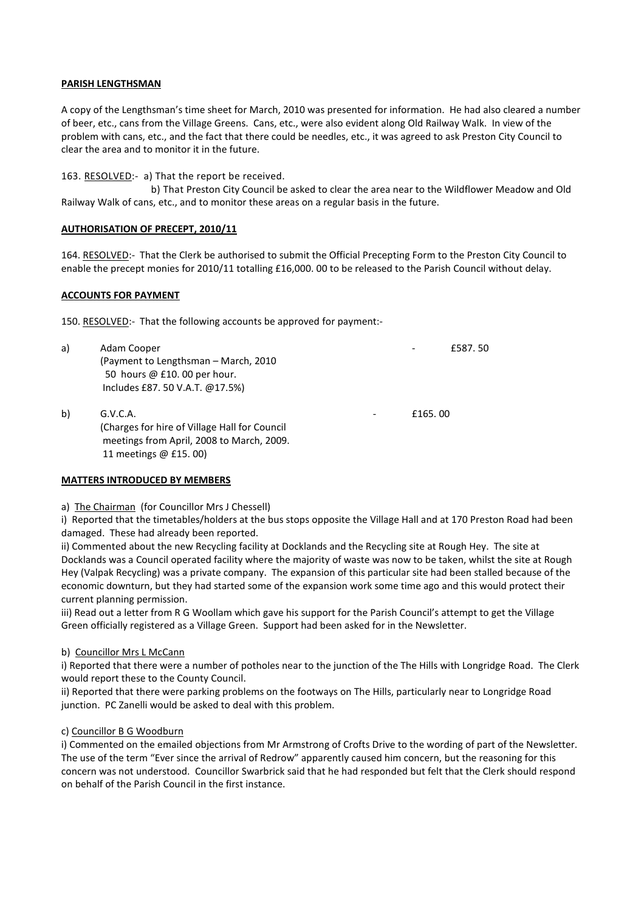## PARISH LENGTHSMAN

A copy of the Lengthsman's time sheet for March, 2010 was presented for information. He had also cleared a number of beer, etc., cans from the Village Greens. Cans, etc., were also evident along Old Railway Walk. In view of the problem with cans, etc., and the fact that there could be needles, etc., it was agreed to ask Preston City Council to clear the area and to monitor it in the future.

163. RESOLVED:- a) That the report be received.

 b) That Preston City Council be asked to clear the area near to the Wildflower Meadow and Old Railway Walk of cans, etc., and to monitor these areas on a regular basis in the future.

### AUTHORISATION OF PRECEPT, 2010/11

164. RESOLVED:- That the Clerk be authorised to submit the Official Precepting Form to the Preston City Council to enable the precept monies for 2010/11 totalling £16,000. 00 to be released to the Parish Council without delay.

### ACCOUNTS FOR PAYMENT

150. RESOLVED:- That the following accounts be approved for payment:-

| a) | Adam Cooper<br>(Payment to Lengthsman - March, 2010)<br>50 hours @ £10.00 per hour.<br>Includes £87. 50 V.A.T. @17.5%)          | £587.50 |
|----|---------------------------------------------------------------------------------------------------------------------------------|---------|
| b) | G.V.C.A.<br>(Charges for hire of Village Hall for Council<br>meetings from April, 2008 to March, 2009.<br>11 meetings @ £15.00) | £165,00 |

#### MATTERS INTRODUCED BY MEMBERS

a) The Chairman (for Councillor Mrs J Chessell)

i) Reported that the timetables/holders at the bus stops opposite the Village Hall and at 170 Preston Road had been damaged. These had already been reported.

ii) Commented about the new Recycling facility at Docklands and the Recycling site at Rough Hey. The site at Docklands was a Council operated facility where the majority of waste was now to be taken, whilst the site at Rough Hey (Valpak Recycling) was a private company. The expansion of this particular site had been stalled because of the economic downturn, but they had started some of the expansion work some time ago and this would protect their current planning permission.

iii) Read out a letter from R G Woollam which gave his support for the Parish Council's attempt to get the Village Green officially registered as a Village Green. Support had been asked for in the Newsletter.

#### b) Councillor Mrs L McCann

i) Reported that there were a number of potholes near to the junction of the The Hills with Longridge Road. The Clerk would report these to the County Council.

ii) Reported that there were parking problems on the footways on The Hills, particularly near to Longridge Road junction. PC Zanelli would be asked to deal with this problem.

#### c) Councillor B G Woodburn

i) Commented on the emailed objections from Mr Armstrong of Crofts Drive to the wording of part of the Newsletter. The use of the term "Ever since the arrival of Redrow" apparently caused him concern, but the reasoning for this concern was not understood. Councillor Swarbrick said that he had responded but felt that the Clerk should respond on behalf of the Parish Council in the first instance.